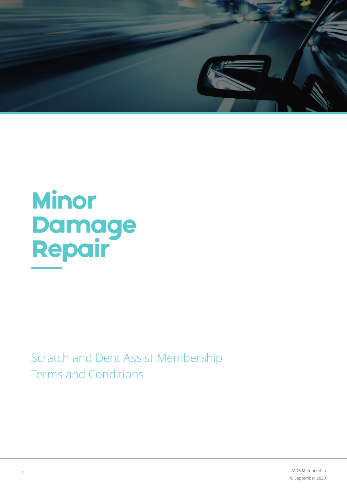

# **Minor Damage<br>Repair**

Scratch and Dent Assist Membership Terms and Conditions

> MDR Membership © September 2020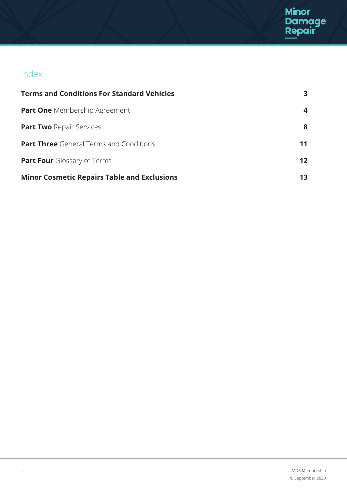# Index

| <b>Terms and Conditions For Standard Vehicles</b>  | З.              |
|----------------------------------------------------|-----------------|
| <b>Part One</b> Membership Agreement               | 4               |
| <b>Part Two Repair Services</b>                    | 8               |
| <b>Part Three</b> General Terms and Conditions     |                 |
| <b>Part Four</b> Glossary of Terms                 | 12 <sup>1</sup> |
| <b>Minor Cosmetic Repairs Table and Exclusions</b> |                 |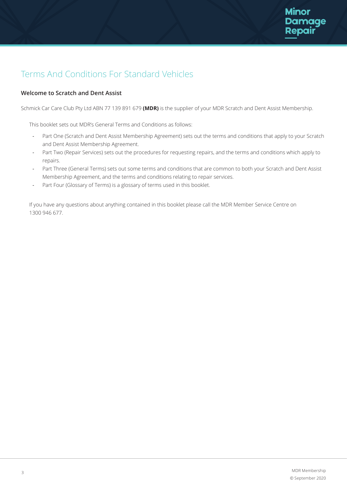# Terms And Conditions For Standard Vehicles

# **Welcome to Scratch and Dent Assist**

Schmick Car Care Club Pty Ltd ABN 77 139 891 679 **(MDR)** is the supplier of your MDR Scratch and Dent Assist Membership.

This booklet sets out MDR's General Terms and Conditions as follows:

- Part One (Scratch and Dent Assist Membership Agreement) sets out the terms and conditions that apply to your Scratch and Dent Assist Membership Agreement.
- Part Two (Repair Services) sets out the procedures for requesting repairs, and the terms and conditions which apply to repairs.
- Part Three (General Terms) sets out some terms and conditions that are common to both your Scratch and Dent Assist Membership Agreement, and the terms and conditions relating to repair services.
- Part Four (Glossary of Terms) is a glossary of terms used in this booklet.

If you have any questions about anything contained in this booklet please call the MDR Member Service Centre on 1300 946 677.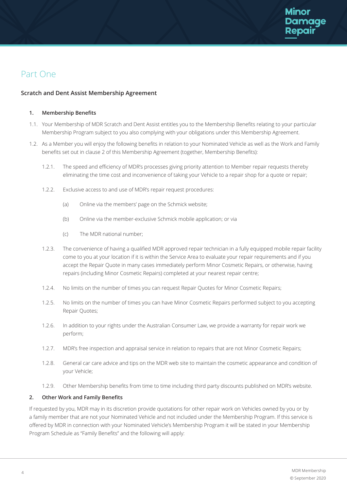

# Part One

# **Scratch and Dent Assist Membership Agreement**

### **1. Membership Benefits**

- 1.1. Your Membership of MDR Scratch and Dent Assist entitles you to the Membership Benefits relating to your particular Membership Program subject to you also complying with your obligations under this Membership Agreement.
- 1.2. As a Member you will enjoy the following benefits in relation to your Nominated Vehicle as well as the Work and Family benefits set out in clause 2 of this Membership Agreement (together, Membership Benefits):
	- 1.2.1. The speed and efficiency of MDR's processes giving priority attention to Member repair requests thereby eliminating the time cost and inconvenience of taking your Vehicle to a repair shop for a quote or repair;
	- 1.2.2. Exclusive access to and use of MDR's repair request procedures:
		- (a) Online via the members' page on the Schmick website;
		- (b) Online via the member-exclusive Schmick mobile application; or via
		- (c) The MDR national number;
	- 1.2.3. The convenience of having a qualified MDR approved repair technician in a fully equipped mobile repair facility come to you at your location if it is within the Service Area to evaluate your repair requirements and if you accept the Repair Quote in many cases immediately perform Minor Cosmetic Repairs, or otherwise, having repairs (including Minor Cosmetic Repairs) completed at your nearest repair centre;
	- 1.2.4. No limits on the number of times you can request Repair Quotes for Minor Cosmetic Repairs;
	- 1.2.5. No limits on the number of times you can have Minor Cosmetic Repairs performed subject to you accepting Repair Quotes;
	- 1.2.6. In addition to your rights under the Australian Consumer Law, we provide a warranty for repair work we perform;
	- 1.2.7. MDR's free inspection and appraisal service in relation to repairs that are not Minor Cosmetic Repairs;
	- 1.2.8. General car care advice and tips on the MDR web site to maintain the cosmetic appearance and condition of your Vehicle;
	- 1.2.9. Other Membership benefits from time to time including third party discounts published on MDR's website.

# **2. Other Work and Family Benefits**

If requested by you, MDR may in its discretion provide quotations for other repair work on Vehicles owned by you or by a family member that are not your Nominated Vehicle and not included under the Membership Program. If this service is offered by MDR in connection with your Nominated Vehicle's Membership Program it will be stated in your Membership Program Schedule as "Family Benefits" and the following will apply: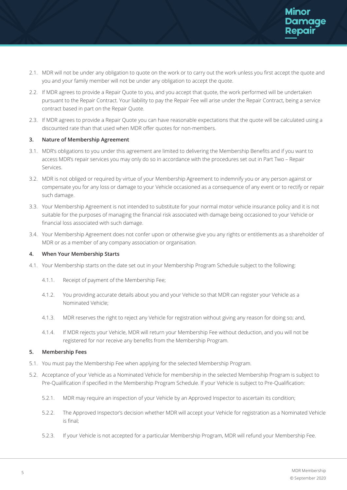- 2.1. MDR will not be under any obligation to quote on the work or to carry out the work unless you first accept the quote and you and your family member will not be under any obligation to accept the quote.
- 2.2. If MDR agrees to provide a Repair Quote to you, and you accept that quote, the work performed will be undertaken pursuant to the Repair Contract. Your liability to pay the Repair Fee will arise under the Repair Contract, being a service contract based in part on the Repair Quote.
- 2.3. If MDR agrees to provide a Repair Quote you can have reasonable expectations that the quote will be calculated using a discounted rate than that used when MDR offer quotes for non-members.

# **3. Nature of Membership Agreement**

- 3.1. MDR's obligations to you under this agreement are limited to delivering the Membership Benefits and if you want to access MDR's repair services you may only do so in accordance with the procedures set out in Part Two – Repair Services.
- 3.2. MDR is not obliged or required by virtue of your Membership Agreement to indemnify you or any person against or compensate you for any loss or damage to your Vehicle occasioned as a consequence of any event or to rectify or repair such damage.
- 3.3. Your Membership Agreement is not intended to substitute for your normal motor vehicle insurance policy and it is not suitable for the purposes of managing the financial risk associated with damage being occasioned to your Vehicle or financial loss associated with such damage.
- 3.4. Your Membership Agreement does not confer upon or otherwise give you any rights or entitlements as a shareholder of MDR or as a member of any company association or organisation.

# **4. When Your Membership Starts**

- 4.1. Your Membership starts on the date set out in your Membership Program Schedule subject to the following:
	- 4.1.1. Receipt of payment of the Membership Fee;
	- 4.1.2. You providing accurate details about you and your Vehicle so that MDR can register your Vehicle as a Nominated Vehicle;
	- 4.1.3. MDR reserves the right to reject any Vehicle for registration without giving any reason for doing so; and,
	- 4.1.4. If MDR rejects your Vehicle, MDR will return your Membership Fee without deduction, and you will not be registered for nor receive any benefits from the Membership Program.

# **5. Membership Fees**

- 5.1. You must pay the Membership Fee when applying for the selected Membership Program.
- 5.2. Acceptance of your Vehicle as a Nominated Vehicle for membership in the selected Membership Program is subject to Pre-Qualification if specified in the Membership Program Schedule. If your Vehicle is subject to Pre-Qualification:
	- 5.2.1. MDR may require an inspection of your Vehicle by an Approved Inspector to ascertain its condition;
	- 5.2.2. The Approved Inspector's decision whether MDR will accept your Vehicle for registration as a Nominated Vehicle is final;
	- 5.2.3. If your Vehicle is not accepted for a particular Membership Program, MDR will refund your Membership Fee.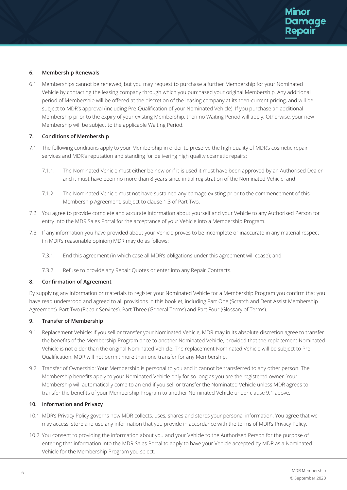# **6. Membership Renewals**

6.1. Memberships cannot be renewed, but you may request to purchase a further Membership for your Nominated Vehicle by contacting the leasing company through which you purchased your original Membership. Any additional period of Membership will be offered at the discretion of the leasing company at its then-current pricing, and will be subject to MDR's approval (including Pre-Qualification of your Nominated Vehicle). If you purchase an additional Membership prior to the expiry of your existing Membership, then no Waiting Period will apply. Otherwise, your new Membership will be subject to the applicable Waiting Period.

# **7. Conditions of Membership**

- 7.1. The following conditions apply to your Membership in order to preserve the high quality of MDR's cosmetic repair services and MDR's reputation and standing for delivering high quality cosmetic repairs:
	- 7.1.1. The Nominated Vehicle must either be new or if it is used it must have been approved by an Authorised Dealer and it must have been no more than 8 years since initial registration of the Nominated Vehicle; and
	- 7.1.2. The Nominated Vehicle must not have sustained any damage existing prior to the commencement of this Membership Agreement, subject to clause 1.3 of Part Two.
- 7.2. You agree to provide complete and accurate information about yourself and your Vehicle to any Authorised Person for entry into the MDR Sales Portal for the acceptance of your Vehicle into a Membership Program.
- 7.3. If any information you have provided about your Vehicle proves to be incomplete or inaccurate in any material respect (in MDR's reasonable opinion) MDR may do as follows:
	- 7.3.1. End this agreement (in which case all MDR's obligations under this agreement will cease); and
	- 7.3.2. Refuse to provide any Repair Quotes or enter into any Repair Contracts.

# **8. Confirmation of Agreement**

By supplying any information or materials to register your Nominated Vehicle for a Membership Program you confirm that you have read understood and agreed to all provisions in this booklet, including Part One (Scratch and Dent Assist Membership Agreement), Part Two (Repair Services), Part Three (General Terms) and Part Four (Glossary of Terms).

# **9. Transfer of Membership**

- 9.1. Replacement Vehicle: If you sell or transfer your Nominated Vehicle, MDR may in its absolute discretion agree to transfer the benefits of the Membership Program once to another Nominated Vehicle, provided that the replacement Nominated Vehicle is not older than the original Nominated Vehicle. The replacement Nominated Vehicle will be subject to Pre- Qualification. MDR will not permit more than one transfer for any Membership.
- 9.2. Transfer of Ownership: Your Membership is personal to you and it cannot be transferred to any other person. The Membership benefits apply to your Nominated Vehicle only for so long as you are the registered owner. Your Membership will automatically come to an end if you sell or transfer the Nominated Vehicle unless MDR agrees to transfer the benefits of your Membership Program to another Nominated Vehicle under clause 9.1 above.

# **10. Information and Privacy**

- 10.1. MDR's Privacy Policy governs how MDR collects, uses, shares and stores your personal information. You agree that we may access, store and use any information that you provide in accordance with the terms of MDR's Privacy Policy.
- 10.2. You consent to providing the information about you and your Vehicle to the Authorised Person for the purpose of entering that information into the MDR Sales Portal to apply to have your Vehicle accepted by MDR as a Nominated Vehicle for the Membership Program you select.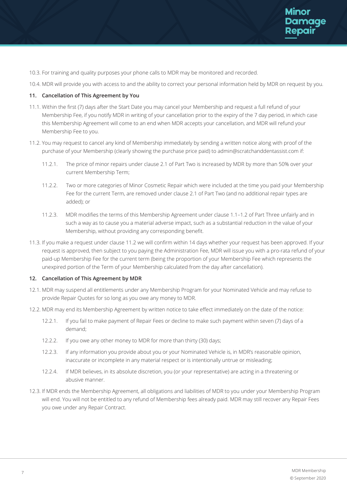- 10.3. For training and quality purposes your phone calls to MDR may be monitored and recorded.
- 10.4. MDR will provide you with access to and the ability to correct your personal information held by MDR on request by you.

### **11. Cancellation of This Agreement by You**

- 11.1. Within the first (7) days after the Start Date you may cancel your Membership and request a full refund of your Membership Fee, if you notify MDR in writing of your cancellation prior to the expiry of the 7 day period, in which case this Membership Agreement will come to an end when MDR accepts your cancellation, and MDR will refund your Membership Fee to you.
- 11.2. You may request to cancel any kind of Membership immediately by sending a written notice along with proof of the purchase of your Membership (clearly showing the purchase price paid) to admin@scratchanddentassist.com if:
	- 11.2.1. The price of minor repairs under clause 2.1 of Part Two is increased by MDR by more than 50% over your current Membership Term;
	- 11.2.2. Two or more categories of Minor Cosmetic Repair which were included at the time you paid your Membership Fee for the current Term, are removed under clause 2.1 of Part Two (and no additional repair types are added); or
	- 11.2.3. MDR modifies the terms of this Membership Agreement under clause 1.1–1.2 of Part Three unfairly and in such a way as to cause you a material adverse impact, such as a substantial reduction in the value of your Membership, without providing any corresponding benefit.
- 11.3. If you make a request under clause 11.2 we will confirm within 14 days whether your request has been approved. If your request is approved, then subject to you paying the Administration Fee, MDR will issue you with a pro-rata refund of your paid-up Membership Fee for the current term (being the proportion of your Membership Fee which represents the unexpired portion of the Term of your Membership calculated from the day after cancellation).

### **12. Cancellation of This Agreement by MDR**

- 12.1. MDR may suspend all entitlements under any Membership Program for your Nominated Vehicle and may refuse to provide Repair Quotes for so long as you owe any money to MDR.
- 12.2. MDR may end its Membership Agreement by written notice to take effect immediately on the date of the notice:
	- 12.2.1. If you fail to make payment of Repair Fees or decline to make such payment within seven (7) days of a demand;
	- 12.2.2. If you owe any other money to MDR for more than thirty (30) days;
	- 12.2.3. If any information you provide about you or your Nominated Vehicle is, in MDR's reasonable opinion, inaccurate or incomplete in any material respect or is intentionally untrue or misleading;
	- 12.2.4. If MDR believes, in its absolute discretion, you (or your representative) are acting in a threatening or abusive manner.
- 12.3. If MDR ends the Membership Agreement, all obligations and liabilities of MDR to you under your Membership Program will end. You will not be entitled to any refund of Membership fees already paid. MDR may still recover any Repair Fees you owe under any Repair Contract.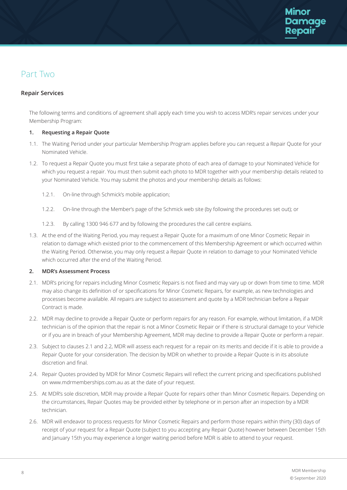# Part Two

# **Repair Services**

The following terms and conditions of agreement shall apply each time you wish to access MDR's repair services under your Membership Program:

# **1. Requesting a Repair Quote**

- 1.1. The Waiting Period under your particular Membership Program applies before you can request a Repair Quote for your Nominated Vehicle.
- 1.2. To request a Repair Quote you must first take a separate photo of each area of damage to your Nominated Vehicle for which you request a repair. You must then submit each photo to MDR together with your membership details related to your Nominated Vehicle. You may submit the photos and your membership details as follows:
	- 1.2.1. On-line through Schmick's mobile application;
	- 1.2.2. On-line through the Member's page of the Schmick web site (by following the procedures set out); or
	- 1.2.3. By calling 1300 946 677 and by following the procedures the call centre explains.
- 1.3. At the end of the Waiting Period, you may request a Repair Quote for a maximum of one Minor Cosmetic Repair in relation to damage which existed prior to the commencement of this Membership Agreement or which occurred within the Waiting Period. Otherwise, you may only request a Repair Quote in relation to damage to your Nominated Vehicle which occurred after the end of the Waiting Period.

# **2. MDR's Assessment Process**

- 2.1. MDR's pricing for repairs including Minor Cosmetic Repairs is not fixed and may vary up or down from time to time. MDR may also change its definition of or specifications for Minor Cosmetic Repairs, for example, as new technologies and processes become available. All repairs are subject to assessment and quote by a MDR technician before a Repair Contract is made.
- 2.2. MDR may decline to provide a Repair Quote or perform repairs for any reason. For example, without limitation, if a MDR technician is of the opinion that the repair is not a Minor Cosmetic Repair or if there is structural damage to your Vehicle or if you are in breach of your Membership Agreement, MDR may decline to provide a Repair Quote or perform a repair.
- 2.3. Subject to clauses 2.1 and 2.2, MDR will assess each request for a repair on its merits and decide if it is able to provide a Repair Quote for your consideration. The decision by MDR on whether to provide a Repair Quote is in its absolute discretion and final.
- 2.4. Repair Quotes provided by MDR for Minor Cosmetic Repairs will reflect the current pricing and specifications published on www.mdrmemberships.com.au as at the date of your request.
- 2.5. At MDR's sole discretion, MDR may provide a Repair Quote for repairs other than Minor Cosmetic Repairs. Depending on the circumstances, Repair Quotes may be provided either by telephone or in person after an inspection by a MDR technician.
- 2.6. MDR will endeavor to process requests for Minor Cosmetic Repairs and perform those repairs within thirty (30) days of receipt of your request for a Repair Quote (subject to you accepting any Repair Quote) however between December 15th and January 15th you may experience a longer waiting period before MDR is able to attend to your request.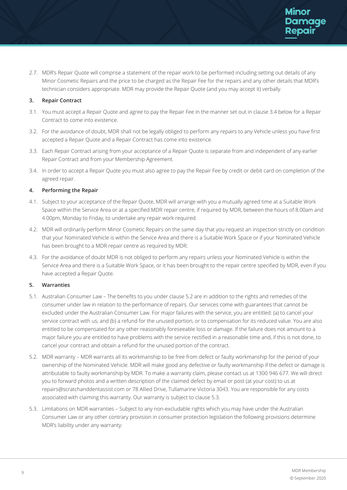2.7. MDR's Repair Quote will comprise a statement of the repair work to be performed including setting out details of any Minor Cosmetic Repairs and the price to be charged as the Repair Fee for the repairs and any other details that MDR's technician considers appropriate. MDR may provide the Repair Quote (and you may accept it) verbally.

# **3. Repair Contract**

- 3.1. You must accept a Repair Quote and agree to pay the Repair Fee in the manner set out in clause 3.4 below for a Repair Contract to come into existence.
- 3.2. For the avoidance of doubt, MDR shall not be legally obliged to perform any repairs to any Vehicle unless you have first accepted a Repair Quote and a Repair Contract has come into existence.
- 3.3. Each Repair Contract arising from your acceptance of a Repair Quote is separate from and independent of any earlier Repair Contract and from your Membership Agreement.
- 3.4. In order to accept a Repair Quote you must also agree to pay the Repair Fee by credit or debit card on completion of the agreed repair.

# **4. Performing the Repair**

- 4.1. Subject to your acceptance of the Repair Ouote, MDR will arrange with you a mutually agreed time at a Suitable Work Space within the Service Area or at a specified MDR repair centre, if required by MDR, between the hours of 8.00am and 4.00pm, Monday to Friday, to undertake any repair work required.
- 4.2. MDR will ordinarily perform Minor Cosmetic Repairs on the same day that you request an inspection strictly on condition that your Nominated Vehicle is within the Service Area and there is a Suitable Work Space or if your Nominated Vehicle has been brought to a MDR repair centre as required by MDR.
- 4.3. For the avoidance of doubt MDR is not obliged to perform any repairs unless your Nominated Vehicle is within the Service Area and there is a Suitable Work Space, or it has been brought to the repair centre specified by MDR, even if you have accepted a Repair Quote.

# **5. Warranties**

- 5.1. Australian Consumer Law The benefits to you under clause 5.2 are in addition to the rights and remedies of the consumer under law in relation to the performance of repairs. Our services come with guarantees that cannot be excluded under the Australian Consumer Law. For major failures with the service, you are entitled: (a) to cancel your service contract with us; and (b) a refund for the unused portion, or to compensation for its reduced value. You are also entitled to be compensated for any other reasonably foreseeable loss or damage. If the failure does not amount to a major failure you are entitled to have problems with the service rectified in a reasonable time and, if this is not done, to cancel your contract and obtain a refund for the unused portion of the contract.
- 5.2. MDR warranty MDR warrants all its workmanship to be free from defect or faulty workmanship for the period of your ownership of the Nominated Vehicle. MDR will make good any defective or faulty workmanship if the defect or damage is attributable to faulty workmanship by MDR. To make a warranty claim, please contact us at 1300 946 677. We will direct you to forward photos and a written description of the claimed defect by email or post (at your cost) to us at repairs@scratchanddentassist.com or 78 Allied Drive, Tullamarine Victoria 3043. You are responsible for any costs associated with claiming this warranty. Our warranty is subject to clause 5.3.
- 5.3. Limitations on MDR warranties Subject to any non-excludable rights which you may have under the Australian Consumer Law or any other contrary provision in consumer protection legislation the following provisions determine MDR's liability under any warranty: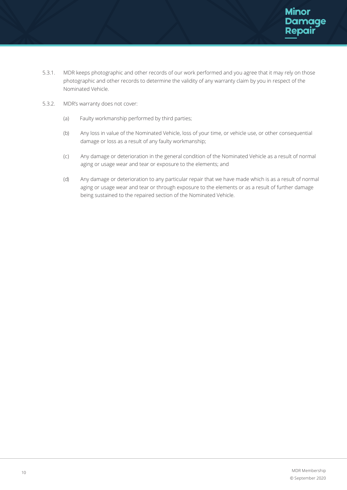- 5.3.1. MDR keeps photographic and other records of our work performed and you agree that it may rely on those photographic and other records to determine the validity of any warranty claim by you in respect of the Nominated Vehicle.
- 5.3.2. MDR's warranty does not cover:
	- (a) Faulty workmanship performed by third parties;
	- (b) Any loss in value of the Nominated Vehicle, loss of your time, or vehicle use, or other consequential damage or loss as a result of any faulty workmanship;
	- (c) Any damage or deterioration in the general condition of the Nominated Vehicle as a result of normal aging or usage wear and tear or exposure to the elements; and
	- (d) Any damage or deterioration to any particular repair that we have made which is as a result of normal aging or usage wear and tear or through exposure to the elements or as a result of further damage being sustained to the repaired section of the Nominated Vehicle.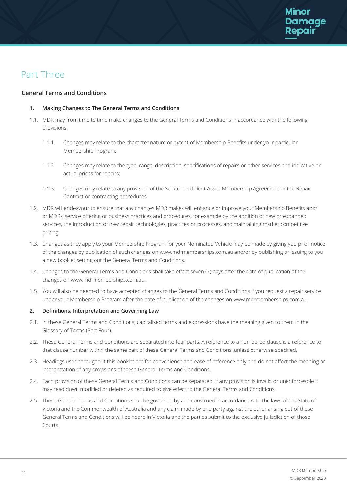# Part Three

# **General Terms and Conditions**

# **1. Making Changes to The General Terms and Conditions**

- 1.1. MDR may from time to time make changes to the General Terms and Conditions in accordance with the following provisions:
	- 1.1.1. Changes may relate to the character nature or extent of Membership Benefits under your particular Membership Program;
	- 1.1.2. Changes may relate to the type, range, description, specifications of repairs or other services and indicative or actual prices for repairs;
	- 1.1.3. Changes may relate to any provision of the Scratch and Dent Assist Membership Agreement or the Repair Contract or contracting procedures.
- 1.2. MDR will endeavour to ensure that any changes MDR makes will enhance or improve your Membership Benefits and/ or MDRs' service offering or business practices and procedures, for example by the addition of new or expanded services, the introduction of new repair technologies, practices or processes, and maintaining market competitive pricing.
- 1.3. Changes as they apply to your Membership Program for your Nominated Vehicle may be made by giving you prior notice of the changes by publication of such changes on www.mdrmemberships.com.au and/or by publishing or issuing to you a new booklet setting out the General Terms and Conditions.
- 1.4. Changes to the General Terms and Conditions shall take effect seven (7) days after the date of publication of the changes on www.mdrmemberships.com.au.
- 1.5. You will also be deemed to have accepted changes to the General Terms and Conditions if you request a repair service under your Membership Program after the date of publication of the changes on www.mdrmemberships.com.au.

# **2. Definitions, Interpretation and Governing Law**

- 2.1. In these General Terms and Conditions, capitalised terms and expressions have the meaning given to them in the Glossary of Terms (Part Four).
- 2.2. These General Terms and Conditions are separated into four parts. A reference to a numbered clause is a reference to that clause number within the same part of these General Terms and Conditions, unless otherwise specified.
- 2.3. Headings used throughout this booklet are for convenience and ease of reference only and do not affect the meaning or interpretation of any provisions of these General Terms and Conditions.
- 2.4. Each provision of these General Terms and Conditions can be separated. If any provision is invalid or unenforceable it may read down modified or deleted as required to give effect to the General Terms and Conditions.
- 2.5. These General Terms and Conditions shall be governed by and construed in accordance with the laws of the State of Victoria and the Commonwealth of Australia and any claim made by one party against the other arising out of these General Terms and Conditions will be heard in Victoria and the parties submit to the exclusive jurisdiction of those Courts.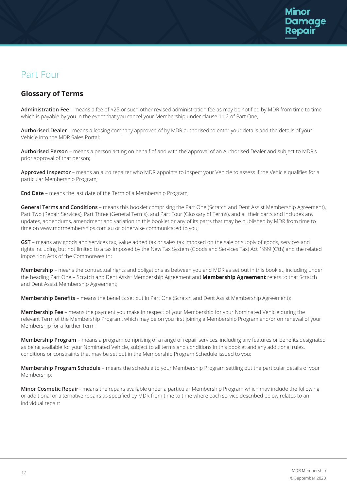# Part Four

# **Glossary of Terms**

**Administration Fee** – means a fee of \$25 or such other revised administration fee as may be notified by MDR from time to time which is payable by you in the event that you cancel your Membership under clause 11.2 of Part One;

**Authorised Dealer** – means a leasing company approved of by MDR authorised to enter your details and the details of your Vehicle into the MDR Sales Portal;

**Authorised Person** – means a person acting on behalf of and with the approval of an Authorised Dealer and subject to MDR's prior approval of that person;

**Approved Inspector** – means an auto repairer who MDR appoints to inspect your Vehicle to assess if the Vehicle qualifies for a particular Membership Program;

**End Date** – means the last date of the Term of a Membership Program;

**General Terms and Conditions** – means this booklet comprising the Part One (Scratch and Dent Assist Membership Agreement), Part Two (Repair Services), Part Three (General Terms), and Part Four (Glossary of Terms), and all their parts and includes any updates, addendums, amendment and variation to this booklet or any of its parts that may be published by MDR from time to time on www.mdrmemberships.com.au or otherwise communicated to you;

**GST** – means any goods and services tax, value added tax or sales tax imposed on the sale or supply of goods, services and rights including but not limited to a tax imposed by the New Tax System (Goods and Services Tax) Act 1999 (C'th) and the related imposition Acts of the Commonwealth;

**Membership** – means the contractual rights and obligations as between you and MDR as set out in this booklet, including under the heading Part One – Scratch and Dent Assist Membership Agreement and **Membership Agreement** refers to that Scratch and Dent Assist Membership Agreement;

**Membership Benefits** – means the benefits set out in Part One (Scratch and Dent Assist Membership Agreement);

**Membership Fee** – means the payment you make in respect of your Membership for your Nominated Vehicle during the relevant Term of the Membership Program, which may be on you first joining a Membership Program and/or on renewal of your Membership for a further Term;

**Membership Program** – means a program comprising of a range of repair services, including any features or benefits designated as being available for your Nominated Vehicle, subject to all terms and conditions in this booklet and any additional rules, conditions or constraints that may be set out in the Membership Program Schedule issued to you;

**Membership Program Schedule** – means the schedule to your Membership Program settling out the particular details of your Membership;

**Minor Cosmetic Repair**– means the repairs available under a particular Membership Program which may include the following or additional or alternative repairs as specified by MDR from time to time where each service described below relates to an individual repair: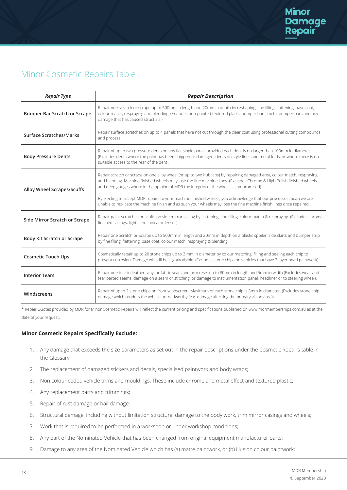# Minor Cosmetic Repairs Table

| <b>Repair Type</b>                  | <b>Repair Description</b>                                                                                                                                                                                                                                                                                                                                                                                                                                                                                                                                                               |  |
|-------------------------------------|-----------------------------------------------------------------------------------------------------------------------------------------------------------------------------------------------------------------------------------------------------------------------------------------------------------------------------------------------------------------------------------------------------------------------------------------------------------------------------------------------------------------------------------------------------------------------------------------|--|
| <b>Bumper Bar Scratch or Scrape</b> | Repair one scratch or scrape up to 500mm in length and 20mm in depth by reshaping, fine filling, flattening, base coat,<br>colour match, respraying and blending. (Excludes non-painted textured plastic bumper bars, metal bumper bars and any<br>damage that has caused structural).                                                                                                                                                                                                                                                                                                  |  |
| <b>Surface Scratches/Marks</b>      | Repair surface scratches on up to 4 panels that have not cut through the clear coat using professional cutting compounds<br>and process.                                                                                                                                                                                                                                                                                                                                                                                                                                                |  |
| <b>Body Pressure Dents</b>          | Repair of up to two pressure dents on any flat single panel, provided each dent is no larger than 100mm in diameter.<br>(Excludes dents where the paint has been chipped or damaged, dents on style lines and metal folds, or where there is no<br>suitable access to the rear of the dent).                                                                                                                                                                                                                                                                                            |  |
| Alloy Wheel Scrapes/Scuffs          | Repair scratch or scrape on one alloy wheel (or up to two hubcaps) by repairing damaged area, colour match, respraying<br>and blending. Machine finished wheels may lose the fine machine lines. (Excludes Chrome & High Polish finished wheels<br>and deep gouges where in the opinion of MDR the integrity of the wheel is compromised).<br>By electing to accept MDR repairs to your machine finished wheels, you acknowledge that our processes mean we are<br>unable to replicate the machine finish and as such your wheels may lose the fine machine finish lines once repaired. |  |
|                                     |                                                                                                                                                                                                                                                                                                                                                                                                                                                                                                                                                                                         |  |
| Side Mirror Scratch or Scrape       | Repair paint scratches or scuffs on side mirror casing by flattening, fine filling, colour match & respraying. (Excludes chrome<br>finished casings, lights and indicator lenses).                                                                                                                                                                                                                                                                                                                                                                                                      |  |
| <b>Body Kit Scratch or Scrape</b>   | Repair one Scratch or Scrape up to 500mm in length and 20mm in depth on a plastic spoiler, side skirts and bumper strip<br>by fine filling, flattening, base coat, colour match, respraying & blending.                                                                                                                                                                                                                                                                                                                                                                                 |  |
| <b>Cosmetic Touch Ups</b>           | Cosmetically repair up to 20 stone chips up to 3 mm in diameter by colour matching, filling and sealing each chip to<br>prevent corrosion. Damage will still be slightly visible. (Excludes stone chips on vehicles that have 3-layer pearl paintwork).                                                                                                                                                                                                                                                                                                                                 |  |
| <b>Interior Tears</b>               | Repair one tear in leather, vinyl or fabric seats and arm rests up to 80mm in length and 5mm in width (Excludes wear and<br>tear parted seams, damage on a seam or stitching, or damage to instrumentation panel, headliner or to steering wheel).                                                                                                                                                                                                                                                                                                                                      |  |
| Windscreens                         | Repair of up to 2 stone chips on front windscreen. Maximum of each stone chip is 3mm in diameter. (Excludes stone chip<br>damage which renders the vehicle unroadworthy (e.g. damage affecting the primary vision area)).                                                                                                                                                                                                                                                                                                                                                               |  |

\* Repair Quotes provided by MDR for Minor Cosmetic Repairs will reflect the current pricing and specifications published on www.mdrmemberships.com.au as at the date of your request.

# **Minor Cosmetic Repairs Specifically Exclude:**

- 1. Any damage that exceeds the size parameters as set out in the repair descriptions under the Cosmetic Repairs table in the Glossary;
- 2. The replacement of damaged stickers and decals, specialised paintwork and body wraps;
- 3. Non colour coded vehicle trims and mouldings. These include chrome and metal effect and textured plastic;
- 4. Any replacement parts and trimmings;
- 5. Repair of rust damage or hail damage;
- 6. Structural damage, including without limitation structural damage to the body work, trim mirror casings and wheels;
- 7. Work that is required to be performed in a workshop or under workshop conditions;
- 8. Any part of the Nominated Vehicle that has been changed from original equipment manufacturer parts;
- 9. Damage to any area of the Nominated Vehicle which has (a) matte paintwork, or (b) illusion colour paintwork;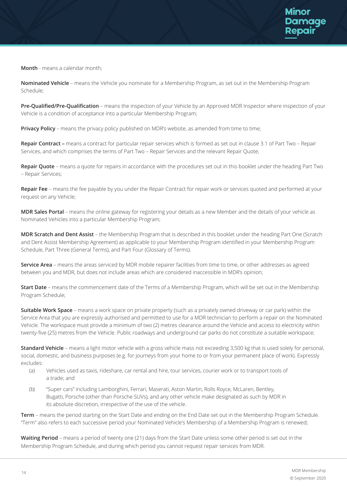**Month** - means a calendar month;

**Nominated Vehicle** – means the Vehicle you nominate for a Membership Program, as set out in the Membership Program Schedule;

**Pre-Qualified/Pre-Qualification** – means the inspection of your Vehicle by an Approved MDR Inspector where inspection of your Vehicle is a condition of acceptance into a particular Membership Program;

**Privacy Policy -** means the privacy policy published on MDR's website, as amended from time to time;

**Repair Contract –** means a contract for particular repair services which is formed as set out in clause 3.1 of Part Two – Repair Services, and which comprises the terms of Part Two – Repair Services and the relevant Repair Quote;

**Repair Quote** – means a quote for repairs in accordance with the procedures set out in this booklet under the heading Part Two – Repair Services;

**Repair Fee** – means the fee payable by you under the Repair Contract for repair work or services quoted and performed at your request on any Vehicle;

**MDR Sales Portal** – means the online gateway for registering your details as a new Member and the details of your vehicle as Nominated Vehicles into a particular Membership Program;

**MDR Scratch and Dent Assist** – the Membership Program that is described in this booklet under the heading Part One (Scratch and Dent Assist Membership Agreement) as applicable to your Membership Program identified in your Membership Program Schedule, Part Three (General Terms), and Part Four (Glossary of Terms).

**Service Area** – means the areas serviced by MDR mobile repairer facilities from time to time, or other addresses as agreed between you and MDR, but does not include areas which are considered inaccessible in MDR's opinion;

**Start Date** – means the commencement date of the Terms of a Membership Program, which will be set out in the Membership Program Schedule;

**Suitable Work Space** – means a work space on private property (such as a privately owned driveway or car park) within the Service Area that you are expressly authorised and permitted to use for a MDR technician to perform a repair on the Nominated Vehicle. The workspace must provide a minimum of two (2) metres clearance around the Vehicle and access to electricity within twenty-five (25) metres from the Vehicle. Public roadways and underground car parks do not constitute a suitable workspace;

**Standard Vehicle** – means a light motor vehicle with a gross vehicle mass not exceeding 3,500 kg that is used solely for personal, social, domestic, and business purposes (e.g. for journeys from your home to or from your permanent place of work). Expressly excludes:

- (a) Vehicles used as taxis, rideshare, car rental and hire, tour services, courier work or to transport tools of a trade; and
- (b) "Super cars" including Lamborghini, Ferrari, Maserati, Aston Martin, Rolls Royce, McLaren, Bentley, Bugatti, Porsche (other than Porsche SUVs), and any other vehicle make designated as such by MDR in its absolute discretion, irrespective of the use of the vehicle.

**Term** – means the period starting on the Start Date and ending on the End Date set out in the Membership Program Schedule. "Term" also refers to each successive period your Nominated Vehicle's Membership of a Membership Program is renewed;

**Waiting Period** – means a period of twenty one (21) days from the Start Date unless some other period is set out in the Membership Program Schedule, and during which period you cannot request repair services from MDR.